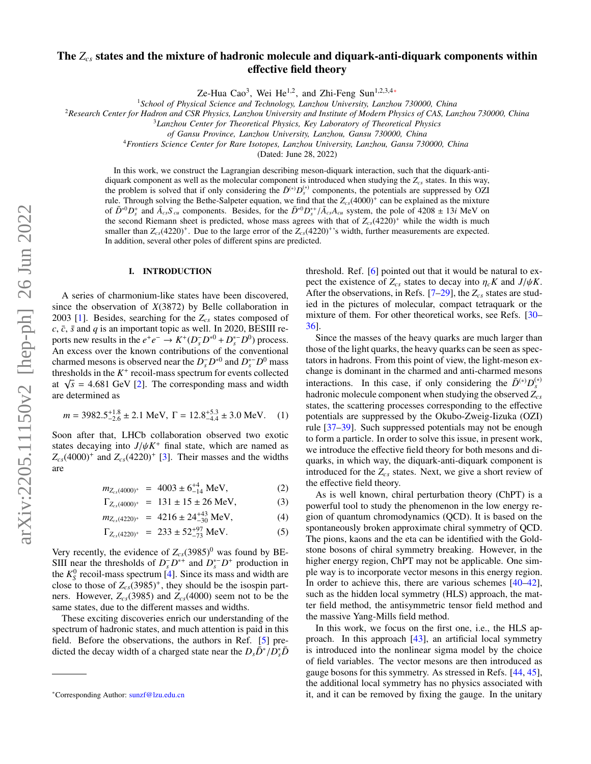# The *Zcs* states and the mixture of hadronic molecule and diquark-anti-diquark components within effective field theory

Ze-Hua Cao<sup>3</sup>, Wei He<sup>1,2</sup>, and Zhi-Feng Sun<sup>1,2,3,4</sup>\*

<sup>1</sup>*School of Physical Science and Technology, Lanzhou University, Lanzhou 730000, China*

<sup>2</sup>*Research Center for Hadron and CSR Physics, Lanzhou University and Institute of Modern Physics of CAS, Lanzhou 730000, China*

<sup>3</sup>*Lanzhou Center for Theoretical Physics, Key Laboratory of Theoretical Physics*

*of Gansu Province, Lanzhou University, Lanzhou, Gansu 730000, China*

<sup>4</sup>*Frontiers Science Center for Rare Isotopes, Lanzhou University, Lanzhou, Gansu 730000, China*

(Dated: June 28, 2022)

In this work, we construct the Lagrangian describing meson-diquark interaction, such that the diquark-antidiquark component as well as the molecular component is introduced when studying the *Zcs* states. In this way, the problem is solved that if only considering the  $\bar{D}^{(*)}D_s^{(*)}$  components, the potentials are suppressed by OZI rule. Through solving the Bethe-Salpeter equation, we find that the  $Z_{cs}(4000)^+$  can be explained as the mixture of  $\bar{D}^{*0}D_s^*$  and  $\bar{A}_{cs}S_{cu}$  components. Besides, for the  $\bar{D}^{*0}D_s^{*+}/\bar{A}_{cs}A_{cu}$  system, the pole of 4208 ± 13*i* MeV on the second Riemann sheet is predicted, whose mass agrees with that of  $Z(4220)^+$  while the second Riemann sheet is predicted, whose mass agrees with that of  $Z<sub>cs</sub>(4220)^+$  while the width is much smaller than  $Z_{cs}(4220)^+$ . Due to the large error of the  $Z_{cs}(4220)^+$ 's width, further measurements are expected. In addition, several other poles of different spins are predicted.

#### I. INTRODUCTION

A series of charmonium-like states have been discovered, since the observation of *X*(3872) by Belle collaboration in 2003 [\[1\]](#page-4-0). Besides, searching for the *Zcs* states composed of  $c, \bar{c}, \bar{s}$  and  $q$  is an important topic as well. In 2020, BESIII reports new results in the  $e^+e^- \rightarrow K^+(D_s^-D^{*0} + D_s^*D^0)$  process. An excess over the known contributions of the conventional charmed mesons is observed near the  $D_s^- D^{*0}$  and  $D_s^*$ <sup>-</sup> $D^0$  mass thresholds in the  $K^+$  recoil-mass spectrum for events collected thresholds in the  $\lambda$  recon-mass spectrum for events collected<br>at  $\sqrt{s}$  = 4.681 GeV [\[2\]](#page-4-1). The corresponding mass and width<br>are determined as are determined as

$$
m = 3982.5^{+1.8}_{-2.6} \pm 2.1 \text{ MeV}, \ \Gamma = 12.8^{+5.3}_{-4.4} \pm 3.0 \text{ MeV}. \tag{1}
$$

Soon after that, LHCb collaboration observed two exotic states decaying into  $J/\psi K^+$  final state, which are named as  $Z_{\nu}$  (4000)<sup>+</sup> and  $Z_{\nu}$  (4220)<sup>+</sup> [3]. Their masses and the widths  $Z_{cs}(4000)^+$  and  $Z_{cs}(4220)^+$  [\[3\]](#page-4-2). Their masses and the widths are

$$
m_{Z_{cs}(4000)^{+}} = 4003 \pm 6^{+4}_{-14} \text{ MeV}, \tag{2}
$$

$$
\Gamma_{Z_{cs}(4000)^{+}} = 131 \pm 15 \pm 26 \text{ MeV}, \tag{3}
$$

$$
m_{Z_{cs}(4220)^{+}} = 4216 \pm 24^{+43}_{-30} \text{ MeV}, \tag{4}
$$

$$
\Gamma_{Z_{cs}(4220)^{+}} = 233 \pm 52^{+97}_{-73} \text{ MeV.}
$$
 (5)

Very recently, the evidence of  $Z_{cs}$ (3985)<sup>0</sup> was found by BE-SIII near the thresholds of  $D_s^- D^{*+}$  and  $D_s^* D^+$  production in the  $K_S^0$  recoil-mass spectrum [\[4\]](#page-4-3). Since its mass and width are close to those of  $Z_{cs}(3985)^+$ , they should be the isospin partners. However,  $Z_{cs}(3985)$  and  $Z_{cs}(4000)$  seem not to be the same states, due to the different masses and widths.

These exciting discoveries enrich our understanding of the spectrum of hadronic states, and much attention is paid in this field. Before the observations, the authors in Ref. [\[5\]](#page-4-4) predicted the decay width of a charged state near the  $D_s \bar{D}^* / \bar{D}_s^* \bar{D}$  threshold. Ref. [\[6\]](#page-4-5) pointed out that it would be natural to expect the existence of  $Z_{cs}$  states to decay into  $\eta_c K$  and  $J/\psi K$ . After the observations, in Refs.  $[7-29]$  $[7-29]$ , the  $Z_{cs}$  states are studied in the pictures of molecular, compact tetraquark or the mixture of them. For other theoretical works, see Refs. [\[30–](#page-5-1) [36\]](#page-5-2).

Since the masses of the heavy quarks are much larger than those of the light quarks, the heavy quarks can be seen as spectators in hadrons. From this point of view, the light-meson exchange is dominant in the charmed and anti-charmed mesons interactions. In this case, if only considering the  $\bar{D}^{(*)}D_s^{(*)}$ hadronic molecule component when studying the observed *Zcs* states, the scattering processes corresponding to the effective potentials are suppressed by the Okubo-Zweig-Iizuka (OZI) rule [\[37–](#page-5-3)[39\]](#page-5-4). Such suppressed potentials may not be enough to form a particle. In order to solve this issue, in present work, we introduce the effective field theory for both mesons and diquarks, in which way, the diquark-anti-diquark component is introduced for the *Zcs* states. Next, we give a short review of the effective field theory.

As is well known, chiral perturbation theory (ChPT) is a powerful tool to study the phenomenon in the low energy region of quantum chromodynamics (QCD). It is based on the spontaneously broken approximate chiral symmetry of QCD. The pions, kaons and the eta can be identified with the Goldstone bosons of chiral symmetry breaking. However, in the higher energy region, ChPT may not be applicable. One simple way is to incorporate vector mesons in this energy region. In order to achieve this, there are various schemes [\[40](#page-5-5)[–42\]](#page-5-6), such as the hidden local symmetry (HLS) approach, the matter field method, the antisymmetric tensor field method and the massive Yang-Mills field method.

In this work, we focus on the first one, i.e., the HLS approach. In this approach [\[43\]](#page-5-7), an artificial local symmetry is introduced into the nonlinear sigma model by the choice of field variables. The vector mesons are then introduced as gauge bosons for this symmetry. As stressed in Refs. [\[44,](#page-5-8) [45\]](#page-5-9), the additional local symmetry has no physics associated with it, and it can be removed by fixing the gauge. In the unitary

<span id="page-0-0"></span><sup>∗</sup>Corresponding Author: [sunzf@lzu.edu.cn](mailto:sunzf@lzu.edu.cn)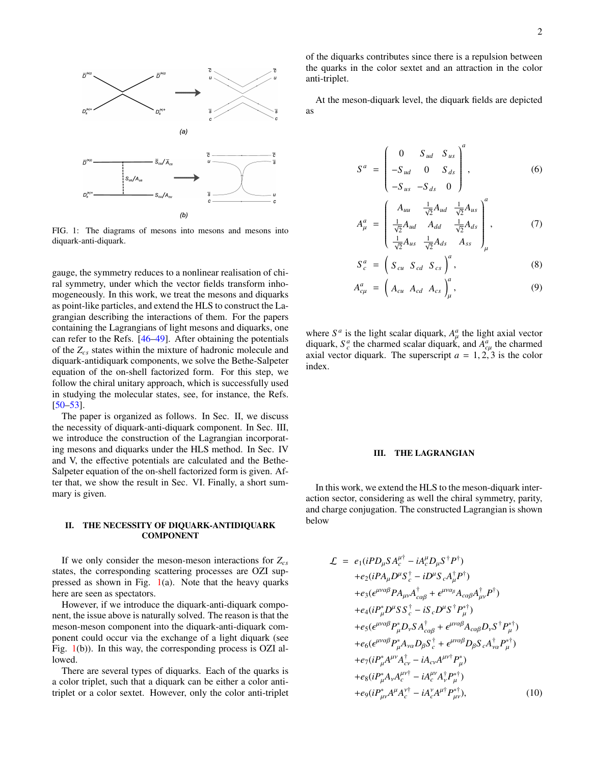

<span id="page-1-0"></span>FIG. 1: The diagrams of mesons into mesons and mesons into diquark-anti-diquark.

gauge, the symmetry reduces to a nonlinear realisation of chiral symmetry, under which the vector fields transform inhomogeneously. In this work, we treat the mesons and diquarks as point-like particles, and extend the HLS to construct the Lagrangian describing the interactions of them. For the papers containing the Lagrangians of light mesons and diquarks, one can refer to the Refs. [\[46](#page-5-10)[–49\]](#page-5-11). After obtaining the potentials of the *Zcs* states within the mixture of hadronic molecule and diquark-antidiquark components, we solve the Bethe-Salpeter equation of the on-shell factorized form. For this step, we follow the chiral unitary approach, which is successfully used in studying the molecular states, see, for instance, the Refs. [\[50](#page-5-12)[–53\]](#page-5-13).

The paper is organized as follows. In Sec. II, we discuss the necessity of diquark-anti-diquark component. In Sec. III, we introduce the construction of the Lagrangian incorporating mesons and diquarks under the HLS method. In Sec. IV and V, the effective potentials are calculated and the Bethe-Salpeter equation of the on-shell factorized form is given. After that, we show the result in Sec. VI. Finally, a short summary is given.

# II. THE NECESSITY OF DIQUARK-ANTIDIQUARK **COMPONENT**

If we only consider the meson-meson interactions for *Zcs* states, the corresponding scattering processes are OZI suppressed as shown in Fig.  $1(a)$  $1(a)$ . Note that the heavy quarks here are seen as spectators.

However, if we introduce the diquark-anti-diquark component, the issue above is naturally solved. The reason is that the meson-meson component into the diquark-anti-diquark component could occur via the exchange of a light diquark (see Fig. [1\(](#page-1-0)b)). In this way, the corresponding process is OZI allowed.

There are several types of diquarks. Each of the quarks is a color triplet, such that a diquark can be either a color antitriplet or a color sextet. However, only the color anti-triplet of the diquarks contributes since there is a repulsion between the quarks in the color sextet and an attraction in the color anti-triplet.

At the meson-diquark level, the diquark fields are depicted as

$$
S^{a} = \begin{pmatrix} 0 & S_{ud} & S_{us} \\ -S_{ud} & 0 & S_{ds} \\ -S_{us} & -S_{ds} & 0 \end{pmatrix}^{a}, \qquad (6)
$$

$$
A_{\mu}^{a} = \begin{pmatrix} A_{uu} & \frac{1}{\sqrt{2}} A_{ud} & \frac{1}{\sqrt{2}} A_{us} \\ \frac{1}{\sqrt{2}} A_{ud} & A_{dd} & \frac{1}{\sqrt{2}} A_{ds} \\ \frac{1}{\sqrt{2}} A_{us} & \frac{1}{\sqrt{2}} A_{ds} & A_{ss} \end{pmatrix}_{\mu}^{a}, \qquad (7)
$$

$$
S_c^a = \left(S_{cu} S_{cd} S_{cs}\right)^a, \tag{8}
$$

$$
A_{c\mu}^a = \left(A_{cu} A_{cd} A_{cs}\right)_{\mu}^a, \qquad (9)
$$

where  $S^a$  is the light scalar diquark,  $A^a_\mu$  the light axial vector diquark,  $S_c^a$  the charmed scalar diquark, and  $A_{c\mu}^a$  the charmed  $\alpha$  axial vector diquark. The superscript  $a = 1, 2, 3$  is the color index index.

#### III. THE LAGRANGIAN

In this work, we extend the HLS to the meson-diquark interaction sector, considering as well the chiral symmetry, parity, and charge conjugation. The constructed Lagrangian is shown below

<span id="page-1-1"></span>
$$
\mathcal{L} = e_1(iPD_\mu SA_c^{\mu\dagger} - iA_c^{\mu}D_\mu S^{\dagger}P^{\dagger})
$$
  
+
$$
+e_2(iPA_\mu D^\mu S_c^{\dagger} - iD^\mu S_c A_\mu^{\dagger}P^{\dagger})
$$
  
+
$$
+e_3(\epsilon^{\mu\nu\alpha\beta}PA_{\mu\nu}A_{\alpha\beta}^{\dagger} + \epsilon^{\mu\nu\alpha\beta}A_{\alpha\alpha\beta}A_{\mu\nu}^{\dagger}P^{\dagger})
$$
  
+
$$
+e_4(iP_\mu^*D^\mu SS_c^{\dagger} - iS_cD^\mu S^{\dagger}P_\mu^{\dagger})
$$
  
+
$$
+e_5(\epsilon^{\mu\nu\alpha\beta}P_\mu^*D_\nu SA_{\alpha\alpha\beta}^{\dagger} + \epsilon^{\mu\nu\alpha\beta}A_{\alpha\alpha\beta}D_\nu S^{\dagger}P_\mu^{\dagger})
$$
  
+
$$
+e_6(\epsilon^{\mu\nu\alpha\beta}P_\mu^*A_{\nu\alpha}D_\beta S_c^{\dagger} + \epsilon^{\mu\nu\alpha\beta}D_\beta S_c A_{\nu\alpha}^{\dagger}P_\mu^{\dagger})
$$
  
+
$$
+e_7(iP_\mu^*A^{\mu\nu}A_c^{\dagger} - iA_{\alpha\nu}A^{\mu\nu\dagger}P_\mu^{\dagger})
$$
  
+
$$
+e_8(iP_\mu^*A_\nu A_c^{\mu\nu\dagger} - iA_c^{\mu\nu}A_\nu^{\dagger}P_\mu^{\dagger})
$$
  
+
$$
+e_9(iP_\mu^*A^\mu A_c^{\nu\dagger} - iA_c^{\nu}A^{\mu\dagger}P_\mu^{\dagger})
$$
, (10)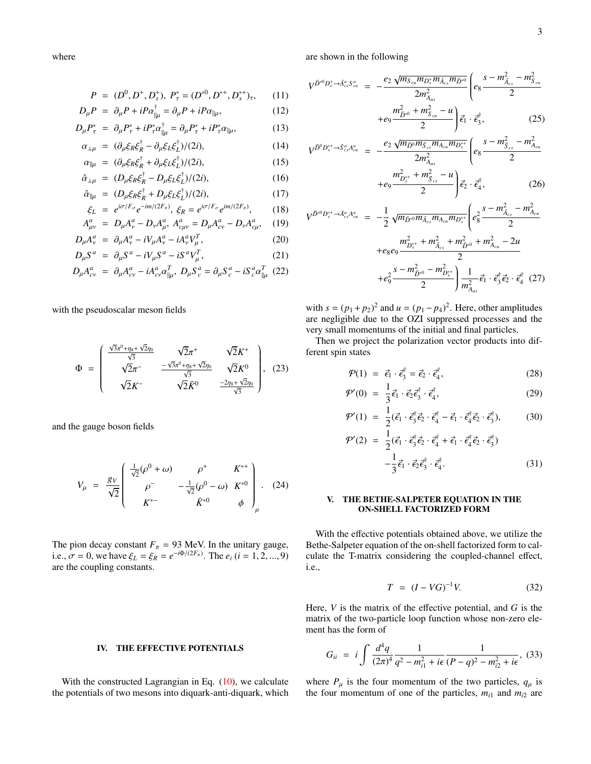where

$$
P = (D^0, D^+, D_s^+), P_\tau^* = (D^{*0}, D^{*+}, D_s^{*+})_\tau, \qquad (11)
$$

$$
D_{\mu}P = \partial_{\mu}P + iP\alpha_{\parallel\mu}^{\dagger} = \partial_{\mu}P + iP\alpha_{\parallel\mu}, \qquad (12)
$$

$$
D_{\mu}P_{\tau}^* = \partial_{\mu}P_{\tau}^* + iP_{\tau}^* \alpha_{\|\mu}^* = \partial_{\mu}P_{\tau}^* + iP_{\tau}^* \alpha_{\|\mu}, \qquad (13)
$$

$$
\alpha_{\perp\mu} = (\partial_{\mu}\xi_R\xi_R^{\dagger} - \partial_{\mu}\xi_L\xi_L^{\dagger})/(2i),\tag{14}
$$

$$
\alpha_{\|\mu} = (\partial_{\mu} \xi_R \xi_R^{\dagger} + \partial_{\mu} \xi_L \xi_L^{\dagger}) / (2i), \tag{15}
$$

$$
\hat{\alpha}_{\perp\mu} = (D_{\mu}\xi_R\xi_R^{\dagger} - D_{\mu}\xi_L\xi_L^{\dagger})/(2i),\tag{16}
$$

$$
\hat{\alpha}_{\parallel \mu} = (D_{\mu} \xi_R \xi_R^{\dagger} + D_{\mu} \xi_L \xi_L^{\dagger})/(2i), \tag{17}
$$

$$
\xi_L = e^{i\sigma/F_\sigma}e^{-im/(2F_\pi)}, \xi_R = e^{i\sigma/F_\sigma}e^{im/(2F_\pi)}, \qquad (18)
$$

$$
A_{\mu\nu}^a = D_{\mu}A_{\nu}^a - D_{\nu}A_{\mu}^a, A_{c\mu\nu}^a = D_{\mu}A_{c\nu}^a - D_{\nu}A_{c\mu}^a, \quad (19)
$$

$$
D_{\mu}A_{\nu}^{a} = \partial_{\mu}A_{\nu}^{a} - iV_{\mu}A_{\nu}^{a} - iA_{\nu}^{a}V_{\mu}^{T}, \qquad (20)
$$

$$
D_{\mu}S^{a} = \partial_{\mu}S^{a} - iV_{\mu}S^{a} - iS^{a}V_{\mu}^{T}, \qquad (21)
$$

$$
D_{\mu}A_{c\nu}^{a} = \partial_{\mu}A_{c\nu}^{a} - iA_{c\nu}^{a}\alpha_{\|\mu}^{T}, \ D_{\mu}S_{c}^{a} = \partial_{\mu}S_{c}^{a} - iS_{c}^{a}\alpha_{\|\mu}^{T} \tag{22}
$$

with the pseudoscalar meson fields

$$
\Phi = \begin{pmatrix} \frac{\sqrt{3}\pi^{0} + \eta_{8} + \sqrt{2}\eta_{0}}{\sqrt{3}} & \sqrt{2}\pi^{+} & \sqrt{2}K^{+} \\ \sqrt{2}\pi^{-} & \frac{-\sqrt{3}\pi^{0} + \eta_{8} + \sqrt{2}\eta_{0}}{\sqrt{3}} & \sqrt{2}K^{0} \\ \sqrt{2}K^{-} & \sqrt{2}\bar{K}^{0} & \frac{-2\eta_{8} + \sqrt{2}\eta_{0}}{\sqrt{3}} \end{pmatrix}, (23)
$$

and the gauge boson fields

$$
V_{\mu} = \frac{g_V}{\sqrt{2}} \begin{pmatrix} \frac{1}{\sqrt{2}} (\rho^0 + \omega) & \rho^+ & K^{*+} \\ \rho^- & -\frac{1}{\sqrt{2}} (\rho^0 - \omega) & K^{*0} \\ K^{*-} & \bar{K}^{*0} & \phi \end{pmatrix}_{\mu} . \quad (24)
$$

The pion decay constant  $F_{\pi} = 93$  MeV. In the unitary gauge,<br>i.e.  $\pi = 0$ , we have  $\xi = \xi - e^{-i\Phi/(2F_{\pi})}$ . The e  $(i = 1, 2, \ldots, 0)$ i.e.,  $\sigma = 0$ , we have  $\xi_L = \xi_R = e^{-i\Phi/(2F_\pi)}$ . The  $e_i$  (*i* = 1, 2, ..., 9) are the coupling constants.

### IV. THE EFFECTIVE POTENTIALS

With the constructed Lagrangian in Eq.  $(10)$ , we calculate the potentials of two mesons into diquark-anti-diquark, which are shown in the following

$$
V^{\bar{D}^{*0}D_s^+ \to \bar{A}_{cs}^a S_{cu}^a} = -\frac{e_2 \sqrt{m_{S_{cu}} m_{D_s^+} m_{\bar{A}_{cs}} m_{\bar{D}^{*0}}}}{2 m_{A_{us}}^2} \left( e_8 \frac{s - m_{\bar{A}_{cs}}^2 - m_{S_{cu}}^2}{2} + e_9 \frac{m_{\bar{D}^{*0}}^2 + m_{S_{cu}}^2 - u}{2} \right) \vec{\epsilon}_1 \cdot \vec{\epsilon}_3^{\dagger}, \tag{25}
$$

$$
V^{\bar{D}^0 D_s^{*+} \to \bar{S}_{cs}^a A_{cu}^a} = -\frac{e_2 \sqrt{m_{\bar{D}^0} m_{\bar{S}_{cs}} m_{A_{cu}} m_{D_s^{*+}}}}{2 m_{A_{us}}^2} \left( e_8 \frac{s - m_{\bar{S}_{cs}}^2 - m_{A_{cu}}^2}{2} + e_9 \frac{m_{D_s^{*+}}^2 + m_{\bar{S}_{cs}}^2 - u}{2} \right) \vec{\epsilon}_2 \cdot \vec{\epsilon}_4^{\dagger},
$$
(26)

$$
V^{\bar{D}^{*0}D_s^{*+} \to \bar{A}_{cs}^a A_{cu}^a} = -\frac{1}{2} \sqrt{m_{\bar{D}^{*0}} m_{\bar{A}_{cs}} m_{A_{cu}} m_{D_s^{*+}}} \left( e_8^2 \frac{s - m_{\bar{A}_{cs}}^2 - m_{\bar{A}_{cu}}^2}{2} + e_8 e_9 \frac{m_{D_s^{*+}}^2 + m_{\bar{A}_{cs}}^2 + m_{\bar{D}^{*0}}^2 + m_{\bar{A}_{cu}}^2 - 2u}{2} + e_9^2 \frac{s - m_{\bar{D}^{*0}}^2 - m_{D_s^{*+}}^2}{2} \right) \frac{1}{m_{A_{us}}^2} \vec{\epsilon}_1 \cdot \vec{\epsilon}_3^{\dagger} \vec{\epsilon}_2 \cdot \vec{\epsilon}_4^{\dagger} \tag{27}
$$

with  $s = (p_1 + p_2)^2$  and  $u = (p_1 - p_4)^2$ . Here, other amplitudes are negligible due to the OZI suppressed processes and the very small momentums of the initial and final particles.

Then we project the polarization vector products into different spin states

$$
\mathcal{P}(1) = \vec{\epsilon}_1 \cdot \vec{\epsilon}_3^{\dagger} = \vec{\epsilon}_2 \cdot \vec{\epsilon}_4^{\dagger}, \tag{28}
$$

$$
\mathcal{P}'(0) = \frac{1}{3} \vec{\epsilon}_1 \cdot \vec{\epsilon}_2 \vec{\epsilon}_3^{\dagger} \cdot \vec{\epsilon}_4^{\dagger}, \qquad (29)
$$

$$
\mathcal{P}'(1) = \frac{1}{2} (\vec{\epsilon}_1 \cdot \vec{\epsilon}_3^{\dagger} \vec{\epsilon}_2 \cdot \vec{\epsilon}_4^{\dagger} - \vec{\epsilon}_1 \cdot \vec{\epsilon}_4^{\dagger} \vec{\epsilon}_2 \cdot \vec{\epsilon}_3^{\dagger}), \qquad (30)
$$

$$
\mathcal{P}'(2) = \frac{1}{2} (\vec{\epsilon}_1 \cdot \vec{\epsilon}_3^{\dagger} \vec{\epsilon}_2 \cdot \vec{\epsilon}_4^{\dagger} + \vec{\epsilon}_1 \cdot \vec{\epsilon}_4^{\dagger} \vec{\epsilon}_2 \cdot \vec{\epsilon}_3^{\dagger}) - \frac{1}{3} \vec{\epsilon}_1 \cdot \vec{\epsilon}_2 \vec{\epsilon}_3^{\dagger} \cdot \vec{\epsilon}_4^{\dagger}.
$$
 (31)

# V. THE BETHE-SALPETER EQUATION IN THE ON-SHELL FACTORIZED FORM

With the effective potentials obtained above, we utilize the Bethe-Salpeter equation of the on-shell factorized form to calculate the T-matrix considering the coupled-channel effect, i.e.,

$$
T = (I - VG)^{-1}V.
$$
 (32)

Here, *V* is the matrix of the effective potential, and *G* is the matrix of the two-particle loop function whose non-zero element has the form of

$$
G_{ii} = i \int \frac{d^4q}{(2\pi)^4} \frac{1}{q^2 - m_{i1}^2 + i\epsilon} \frac{1}{(P - q)^2 - m_{i2}^2 + i\epsilon},
$$
 (33)

where  $P_{\mu}$  is the four momentum of the two particles,  $q_{\mu}$  is the four momentum of one of the particles,  $m_{i1}$  and  $m_{i2}$  are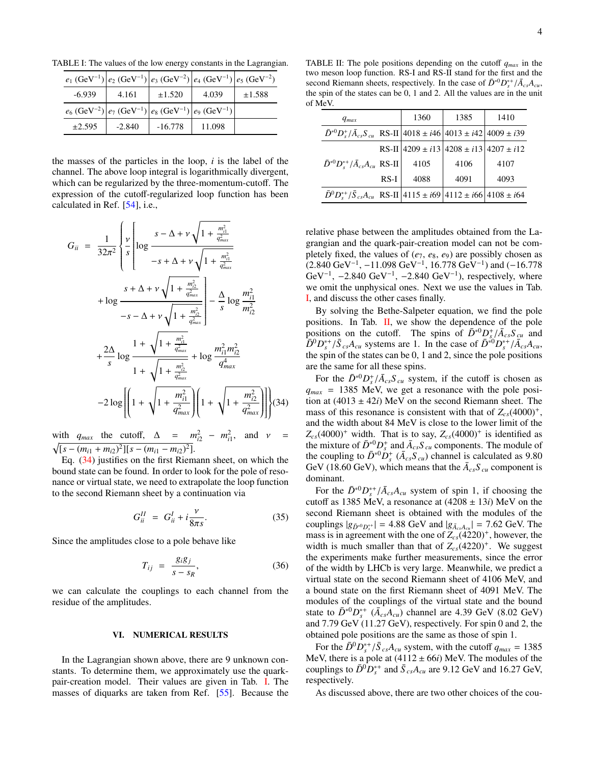<span id="page-3-1"></span> $e_1$  (GeV<sup>-1</sup>)  $|e_2$  (GeV<sup>-1</sup>)<sup>|</sup> )  $\left|e_3 \right.$  (GeV<sup>-2</sup>)  $\left|e_4 \right.$  (GeV<sup>-1</sup>) )  $e_5$  (GeV<sup>-2</sup>)  $-6.939$  4.161  $\pm 1.520$  4.039  $\pm 1.588$  $e_6$  (GeV<sup>-2</sup>)  $e_7$  (GeV<sup>-1</sup>)  $e_8$  (GeV<sup>−1</sup>) )  $|e_9$  (GeV<sup>-1</sup>)  $\pm 2.595$  -2.840 -16.778 11.098

TABLE I: The values of the low energy constants in the Lagrangian.

the masses of the particles in the loop, *i* is the label of the channel. The above loop integral is logarithmically divergent, which can be regularized by the three-momentum-cutoff. The expression of the cutoff-regularized loop function has been calculated in Ref. [\[54\]](#page-5-14), i.e.,

<span id="page-3-0"></span>
$$
G_{ii} = \frac{1}{32\pi^{2}} \left\{ \frac{\nu}{s} \left[ \log \frac{s - \Delta + \nu \sqrt{1 + \frac{m_{i1}^{2}}{q_{max}^{2}}}}{-s + \Delta + \nu \sqrt{1 + \frac{m_{i1}^{2}}{q_{max}^{2}}}} \right. \right. \\ \left. + \log \frac{s + \Delta + \nu \sqrt{1 + \frac{m_{i2}^{2}}{q_{max}^{2}}} \right] - \frac{\Delta}{s} \log \frac{m_{i1}^{2}}{m_{i2}^{2}}}{-s - \Delta + \nu \sqrt{1 + \frac{m_{i1}^{2}}{q_{max}^{2}}} \left. - \frac{\Delta}{s} \log \frac{m_{i1}^{2}}{m_{i2}^{2}} \right. \\ \left. + \frac{2\Delta}{s} \log \frac{1 + \sqrt{1 + \frac{m_{i1}^{2}}{q_{max}^{2}}} + \log \frac{m_{i1}^{2}m_{i2}^{2}}{q_{max}^{4}}}{1 + \sqrt{1 + \frac{m_{i2}^{2}}{q_{max}^{2}}} \right) + \log \left( \frac{m_{i1}^{2}}{q_{max}^{2}} \right) \right\} (34)
$$

with  $q_{max}$  the cutoff,  $\Delta = m_{i2}^2 - m_{i1}^2$ , and  $v = \sqrt{[s - (m_{i1} + m_{i2})^2][s - (m_{i1} - m_{i2})^2]}.$  $[s - (m_{i1} + m_{i2})^2][s - (m_{i1} - m_{i2})^2].$ 

Eq. [\(34\)](#page-3-0) justifies on the first Riemann sheet, on which the bound state can be found. In order to look for the pole of resonance or virtual state, we need to extrapolate the loop function to the second Riemann sheet by a continuation via

$$
G_{ii}^H = G_{ii}^I + i\frac{\nu}{8\pi s}.\tag{35}
$$

Since the amplitudes close to a pole behave like

$$
T_{ij} = \frac{g_i g_j}{s - s_R},\tag{36}
$$

we can calculate the couplings to each channel from the residue of the amplitudes.

#### VI. NUMERICAL RESULTS

In the Lagrangian shown above, there are 9 unknown constants. To determine them, we approximately use the quarkpair-creation model. Their values are given in Tab. [I.](#page-3-1) The masses of diquarks are taken from Ref. [\[55\]](#page-5-15). Because the

<span id="page-3-2"></span>TABLE II: The pole positions depending on the cutoff *qmax* in the two meson loop function. RS-I and RS-II stand for the first and the second Riemann sheets, respectively. In the case of  $\bar{D}^{*0}D_s^{*+}/\bar{A}_{cs}A_{cu}$ , the spin of the states can be 0, 1 and 2. All the values are in the unit the spin of the states can be 0, 1 and 2. All the values are in the unit of MeV.

| $q_{max}$                                                                       |      | 1360 | 1385                                            | 1410 |
|---------------------------------------------------------------------------------|------|------|-------------------------------------------------|------|
| $\bar{D}^{*0}D_s^*/\bar{A}_{cs}S_{cu}$ RS-II 4018 ± i46 4013 ± i42 4009 ± i39   |      |      |                                                 |      |
|                                                                                 |      |      | RS-II $ 4209 \pm i13 4208 \pm i13 4207 \pm i12$ |      |
| $\bar{D}^{*0}D_s^{*+}/\bar{A}_{cs}A_{cu}$ RS-II                                 |      | 4105 | 4106                                            | 4107 |
|                                                                                 | RS-I | 4088 | 4091                                            | 4093 |
| $\bar{D}^0 D_s^{*+}/\bar{S}_{cs} A_{cu}$ RS-II 4115 ± i69 4112 ± i66 4108 ± i64 |      |      |                                                 |      |

relative phase between the amplitudes obtained from the Lagrangian and the quark-pair-creation model can not be completely fixed, the values of  $(e_7, e_8, e_9)$  are possibly chosen as  $(2.840 \text{ GeV}^{-1}, -11.098 \text{ GeV}^{-1}, 16.778 \text{ GeV}^{-1})$  and  $(-16.778 \text{ GeV}^{-1}, -2.840 \text{ GeV}^{-1})$  respectively where  $\text{GeV}^{-1}$ , -2.840  $\text{GeV}^{-1}$ , -2.840  $\text{GeV}^{-1}$ ), respectively, where we omit the unphysical ones. Next we use the values in Tab we omit the unphysical ones. Next we use the values in Tab. [I,](#page-3-1) and discuss the other cases finally.

By solving the Bethe-Salpeter equation, we find the pole positions. In Tab. [II,](#page-3-2) we show the dependence of the pole positions on the cutoff. The spins of  $\bar{D}^{*0}D_s^{\dagger}/\bar{A}_{cs}S_{cu}$  and  $\bar{D}^{0}D^{*+}/\bar{S}$  *A* systems are 1. In the case of  $\bar{D}^{*0}D^{*+}/\bar{A}$  *A*  $\bar{D}^0 D_s^{*+}/\bar{S}_{cs}A_{cu}$  systems are 1. In the case of  $\bar{D}^{*0} D_s^{*+}/\bar{A}_{cs}A_{cu}$ ,<br>the spin of the states can be 0.1 and 2 since the pole positions the spin of the states can be 0, 1 and 2, since the pole positions are the same for all these spins.

For the  $\bar{D}^{*0}D_s^+/\bar{A}_{cs}S_{cu}$  system, if the cutoff is chosen as  $\epsilon_{cs} = 1385$  MeV we get a resonance with the pole posi $q_{max}$  = 1385 MeV, we get a resonance with the pole position at  $(4013 \pm 42i)$  MeV on the second Riemann sheet. The mass of this resonance is consistent with that of  $Z_{cs}(4000)^+$ , and the width about 84 MeV is close to the lower limit of the  $Z_{cs}(4000)^+$  width. That is to say,  $Z_{cs}(4000)^+$  is identified as the mixture of  $\bar{D}^{*0}_{s} D^+_{s}$  and  $\bar{A}_{cs} S_{cu}$  components. The module of the coupling to  $\bar{D}^{*0}\bar{D}^+_s$  ( $\bar{A}_{cs}S_{cu}$ ) channel is calculated as 9.80 GeV (18.60 GeV), which means that the  $\bar{A}_{cs}S_{cu}$  component is dominant.

For the  $\bar{D}^{*0}D_s^{*+}/\bar{A}_{cs}A_{cu}$  system of spin 1, if choosing the toff as 1385 MeV a resonance at  $(4208 + 13i)$  MeV on the cutoff as 1385 MeV, a resonance at  $(4208 \pm 13i)$  MeV on the second Riemann sheet is obtained with the modules of the couplings  $|g_{\bar{D}^{*0}D_s^{*+}}| = 4.88$  GeV and  $|g_{\bar{A}_{cs}A_{cu}}| = 7.62$  GeV. The mass is in agreement with the one of  $Z$  (4220)<sup>+</sup> however the mass is in agreement with the one of  $Z_{cs}(4220)^+$ , however, the width is much smaller than that of  $Z_{cs}(4220)^+$ . We suggest the experiments make further measurements, since the error of the width by LHCb is very large. Meanwhile, we predict a virtual state on the second Riemann sheet of 4106 MeV, and a bound state on the first Riemann sheet of 4091 MeV. The modules of the couplings of the virtual state and the bound state to  $\bar{D}^{*0}D_s^{*+}$  ( $\bar{A}_{cs}A_{cu}$ ) channel are 4.39 GeV (8.02 GeV) and 7.79 GeV (11.27 GeV), respectively. For spin 0 and 2, the obtained pole positions are the same as those of spin 1.

For the  $\bar{D}^0 D_s^{*+} / \bar{S}_{cs} A_{cu}$  system, with the cutoff  $q_{max} = 1385$ <br>eV there is a pole at (4112 + 66*i*) MeV. The modules of the MeV, there is a pole at  $(4112 \pm 66i)$  MeV. The modules of the couplings to  $\bar{D}^0 D_s^{*+}$  and  $\bar{S}_{cs} A_{cu}$  are 9.12 GeV and 16.27 GeV, respectively.

As discussed above, there are two other choices of the cou-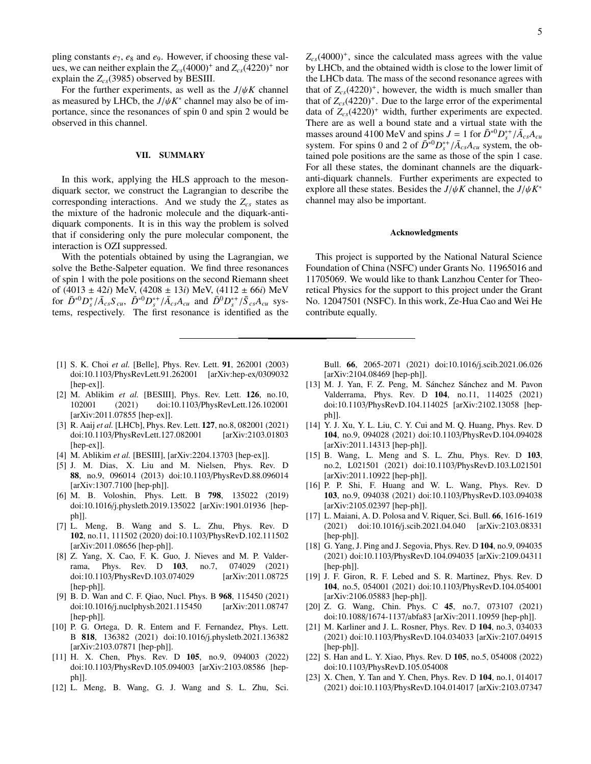pling constants *e*7, *e*<sup>8</sup> and *e*9. However, if choosing these values, we can neither explain the  $Z_{cs}(4000)^+$  and  $Z_{cs}(4220)^+$  nor explain the *Zcs*(3985) observed by BESIII.

For the further experiments, as well as the  $J/\psi K$  channel as measured by LHCb, the  $J/\psi K^*$  channel may also be of im-<br>portance since the resonances of spin 0 and spin 2 would be portance, since the resonances of spin 0 and spin 2 would be observed in this channel.

#### VII. SUMMARY

In this work, applying the HLS approach to the mesondiquark sector, we construct the Lagrangian to describe the corresponding interactions. And we study the *Zcs* states as the mixture of the hadronic molecule and the diquark-antidiquark components. It is in this way the problem is solved that if considering only the pure molecular component, the interaction is OZI suppressed.

With the potentials obtained by using the Lagrangian, we solve the Bethe-Salpeter equation. We find three resonances of spin 1 with the pole positions on the second Riemann sheet of (4013 ± 42*i*) MeV, (4208 ± 13*i*) MeV, (4112 ± 66*i*) MeV for  $\bar{D}^{*0}D_s^*/\bar{A}_{cs}S_{cu}$ ,  $\bar{D}^{*0}D_s^*/\bar{A}_{cs}A_{cu}$  and  $\bar{D}^0D_s^{*}/\bar{S}_{cs}A_{cu}$  sys-<br>tems respectively. The first resonance is identified as the tems, respectively. The first resonance is identified as the

 $Z_{cs}(4000)^+$ , since the calculated mass agrees with the value by LHCb, and the obtained width is close to the lower limit of the LHCb data. The mass of the second resonance agrees with that of  $Z_{cs}(4220)^+$ , however, the width is much smaller than that of  $Z_{cs}(4220)^+$ . Due to the large error of the experimental data of  $Z_{cs}(4220)^+$  width, further experiments are expected. There are as well a bound state and a virtual state with the masses around 4100 MeV and spins  $J = 1$  for  $\bar{D}^{*0}D^{*+}_{s}/\bar{A}_{cs}A_{cu}$ <br>system. For spins 0 and 2 of  $\bar{D}^{*0}D^{*+}/\bar{A}$  4 system, the obsystem. For spins 0 and 2 of  $\overline{D}^{*0}D_s^{*+}/\overline{A}_{cs}A_{cu}$  system, the obtained pole positions are the same as those of the spin 1 case tained pole positions are the same as those of the spin 1 case. For all these states, the dominant channels are the diquarkanti-diquark channels. Further experiments are expected to explore all these states. Besides the  $J/\psi K$  channel, the  $J/\psi K^*$ <br>channel may also be important channel may also be important.

# Acknowledgments

This project is supported by the National Natural Science Foundation of China (NSFC) under Grants No. 11965016 and 11705069. We would like to thank Lanzhou Center for Theoretical Physics for the support to this project under the Grant No. 12047501 (NSFC). In this work, Ze-Hua Cao and Wei He contribute equally.

- <span id="page-4-0"></span>[1] S. K. Choi *et al.* [Belle], Phys. Rev. Lett. 91, 262001 (2003) doi:10.1103/PhysRevLett.91.262001 [arXiv:hep-ex/0309032 [hep-ex]].
- <span id="page-4-1"></span>[2] M. Ablikim *et al.* [BESIII], Phys. Rev. Lett. 126, no.10, 102001 (2021) doi:10.1103/PhysRevLett.126.102001 [arXiv:2011.07855 [hep-ex]].
- <span id="page-4-2"></span>[3] R. Aaij *et al.* [LHCb], Phys. Rev. Lett. 127, no.8, 082001 (2021) doi:10.1103/PhysRevLett.127.082001 [arXiv:2103.01803 [hep-ex]].
- <span id="page-4-3"></span>[4] M. Ablikim *et al.* [BESIII], [arXiv:2204.13703 [hep-ex]].
- <span id="page-4-4"></span>[5] J. M. Dias, X. Liu and M. Nielsen, Phys. Rev. D 88, no.9, 096014 (2013) doi:10.1103/PhysRevD.88.096014 [arXiv:1307.7100 [hep-ph]].
- <span id="page-4-5"></span>[6] M. B. Voloshin, Phys. Lett. B 798, 135022 (2019) doi:10.1016/j.physletb.2019.135022 [arXiv:1901.01936 [hepph]].
- <span id="page-4-6"></span>[7] L. Meng, B. Wang and S. L. Zhu, Phys. Rev. D 102, no.11, 111502 (2020) doi:10.1103/PhysRevD.102.111502 [arXiv:2011.08656 [hep-ph]].
- [8] Z. Yang, X. Cao, F. K. Guo, J. Nieves and M. P. Valderrama, Phys. Rev. D 103, no.7, 074029 (2021) doi:10.1103/PhysRevD.103.074029 [arXiv:2011.08725 [hep-ph]].
- [9] B. D. Wan and C. F. Qiao, Nucl. Phys. B 968, 115450 (2021) doi:10.1016/j.nuclphysb.2021.115450 [arXiv:2011.08747 [hep-ph]].
- [10] P. G. Ortega, D. R. Entem and F. Fernandez, Phys. Lett. B 818, 136382 (2021) doi:10.1016/j.physletb.2021.136382 [arXiv:2103.07871 [hep-ph]].
- [11] H. X. Chen, Phys. Rev. D 105, no.9, 094003 (2022) doi:10.1103/PhysRevD.105.094003 [arXiv:2103.08586 [hepph]].
- [12] L. Meng, B. Wang, G. J. Wang and S. L. Zhu, Sci.

Bull. 66, 2065-2071 (2021) doi:10.1016/j.scib.2021.06.026 [arXiv:2104.08469 [hep-ph]].

- [13] M. J. Yan, F. Z. Peng, M. Sánchez Sánchez and M. Pavon Valderrama, Phys. Rev. D 104, no.11, 114025 (2021) doi:10.1103/PhysRevD.104.114025 [arXiv:2102.13058 [hepph]].
- [14] Y. J. Xu, Y. L. Liu, C. Y. Cui and M. Q. Huang, Phys. Rev. D 104, no.9, 094028 (2021) doi:10.1103/PhysRevD.104.094028 [arXiv:2011.14313 [hep-ph]].
- [15] B. Wang, L. Meng and S. L. Zhu, Phys. Rev. D 103, no.2, L021501 (2021) doi:10.1103/PhysRevD.103.L021501 [arXiv:2011.10922 [hep-ph]].
- [16] P. P. Shi, F. Huang and W. L. Wang, Phys. Rev. D 103, no.9, 094038 (2021) doi:10.1103/PhysRevD.103.094038 [arXiv:2105.02397 [hep-ph]].
- [17] L. Maiani, A. D. Polosa and V. Riquer, Sci. Bull. 66, 1616-1619 (2021) doi:10.1016/j.scib.2021.04.040 [arXiv:2103.08331 [hep-ph]].
- [18] G. Yang, J. Ping and J. Segovia, Phys. Rev. D 104, no.9, 094035 (2021) doi:10.1103/PhysRevD.104.094035 [arXiv:2109.04311 [hep-ph]].
- [19] J. F. Giron, R. F. Lebed and S. R. Martinez, Phys. Rev. D 104, no.5, 054001 (2021) doi:10.1103/PhysRevD.104.054001 [arXiv:2106.05883 [hep-ph]].
- [20] Z. G. Wang, Chin. Phys. C 45, no.7, 073107 (2021) doi:10.1088/1674-1137/abfa83 [arXiv:2011.10959 [hep-ph]].
- [21] M. Karliner and J. L. Rosner, Phys. Rev. D 104, no.3, 034033 (2021) doi:10.1103/PhysRevD.104.034033 [arXiv:2107.04915 [hep-ph]].
- [22] S. Han and L. Y. Xiao, Phys. Rev. D 105, no.5, 054008 (2022) doi:10.1103/PhysRevD.105.054008
- [23] X. Chen, Y. Tan and Y. Chen, Phys. Rev. D 104, no.1, 014017 (2021) doi:10.1103/PhysRevD.104.014017 [arXiv:2103.07347